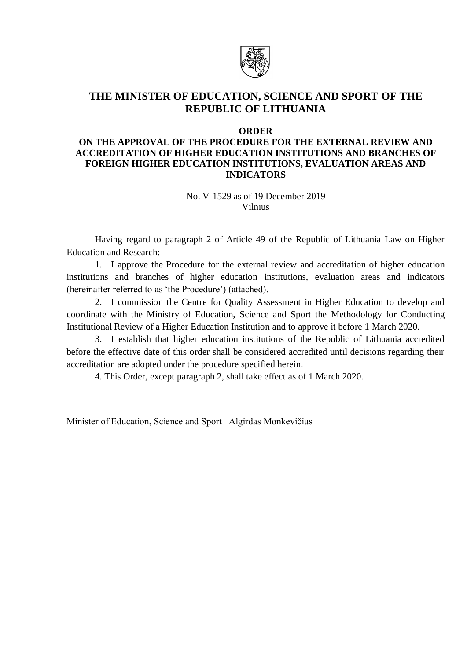

# **THE MINISTER OF EDUCATION, SCIENCE AND SPORT OF THE REPUBLIC OF LITHUANIA**

#### **ORDER**

## **ON THE APPROVAL OF THE PROCEDURE FOR THE EXTERNAL REVIEW AND ACCREDITATION OF HIGHER EDUCATION INSTITUTIONS AND BRANCHES OF FOREIGN HIGHER EDUCATION INSTITUTIONS, EVALUATION AREAS AND INDICATORS**

No. V-1529 as of 19 December 2019 Vilnius

Having regard to paragraph 2 of Article 49 of the Republic of Lithuania Law on Higher Education and Research:

1. I approve the Procedure for the external review and accreditation of higher education institutions and branches of higher education institutions, evaluation areas and indicators (hereinafter referred to as 'the Procedure') (attached).

2. I commission the Centre for Quality Assessment in Higher Education to develop and coordinate with the Ministry of Education, Science and Sport the Methodology for Conducting Institutional Review of a Higher Education Institution and to approve it before 1 March 2020.

3. I establish that higher education institutions of the Republic of Lithuania accredited before the effective date of this order shall be considered accredited until decisions regarding their accreditation are adopted under the procedure specified herein.

4. This Order, except paragraph 2, shall take effect as of 1 March 2020.

Minister of Education, Science and Sport Algirdas Monkevičius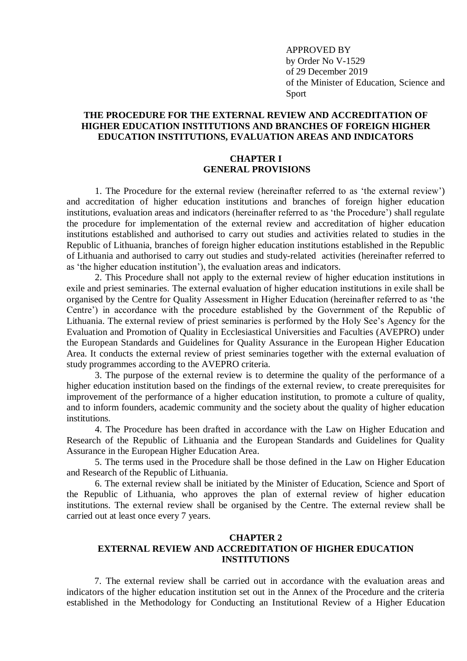APPROVED BY by Order No V-1529 of 29 December 2019 of the Minister of Education, Science and Sport

### **THE PROCEDURE FOR THE EXTERNAL REVIEW AND ACCREDITATION OF HIGHER EDUCATION INSTITUTIONS AND BRANCHES OF FOREIGN HIGHER EDUCATION INSTITUTIONS, EVALUATION AREAS AND INDICATORS**

#### **CHAPTER I GENERAL PROVISIONS**

1. The Procedure for the external review (hereinafter referred to as 'the external review') and accreditation of higher education institutions and branches of foreign higher education institutions, evaluation areas and indicators (hereinafter referred to as 'the Procedure') shall regulate the procedure for implementation of the external review and accreditation of higher education institutions established and authorised to carry out studies and activities related to studies in the Republic of Lithuania, branches of foreign higher education institutions established in the Republic of Lithuania and authorised to carry out studies and study-related activities (hereinafter referred to as 'the higher education institution'), the evaluation areas and indicators.

2. This Procedure shall not apply to the external review of higher education institutions in exile and priest seminaries. The external evaluation of higher education institutions in exile shall be organised by the Centre for Quality Assessment in Higher Education (hereinafter referred to as 'the Centre') in accordance with the procedure established by the Government of the Republic of Lithuania. The external review of priest seminaries is performed by the Holy See's Agency for the Evaluation and Promotion of Quality in Ecclesiastical Universities and Faculties (AVEPRO) under the European Standards and Guidelines for Quality Assurance in the European Higher Education Area. It conducts the external review of priest seminaries together with the external evaluation of study programmes according to the AVEPRO criteria.

3. The purpose of the external review is to determine the quality of the performance of a higher education institution based on the findings of the external review, to create prerequisites for improvement of the performance of a higher education institution, to promote a culture of quality, and to inform founders, academic community and the society about the quality of higher education institutions.

4. The Procedure has been drafted in accordance with the Law on Higher Education and Research of the Republic of Lithuania and the European Standards and Guidelines for Quality Assurance in the European Higher Education Area.

5. The terms used in the Procedure shall be those defined in the Law on Higher Education and Research of the Republic of Lithuania.

6. The external review shall be initiated by the Minister of Education, Science and Sport of the Republic of Lithuania, who approves the plan of external review of higher education institutions. The external review shall be organised by the Centre. The external review shall be carried out at least once every 7 years.

### **CHAPTER 2 EXTERNAL REVIEW AND ACCREDITATION OF HIGHER EDUCATION INSTITUTIONS**

7. The external review shall be carried out in accordance with the evaluation areas and indicators of the higher education institution set out in the Annex of the Procedure and the criteria established in the Methodology for Conducting an Institutional Review of a Higher Education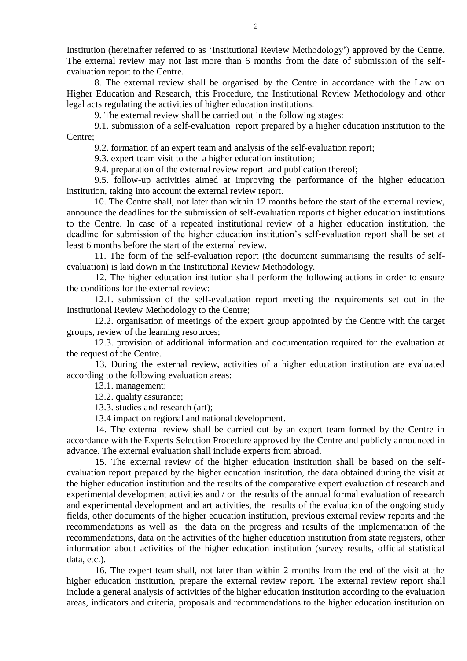Institution (hereinafter referred to as 'Institutional Review Methodology') approved by the Centre. The external review may not last more than 6 months from the date of submission of the selfevaluation report to the Centre.

8. The external review shall be organised by the Centre in accordance with the Law on Higher Education and Research, this Procedure, the Institutional Review Methodology and other legal acts regulating the activities of higher education institutions.

9. The external review shall be carried out in the following stages:

9.1. submission of a self-evaluation report prepared by a higher education institution to the Centre;

9.2. formation of an expert team and analysis of the self-evaluation report;

9.3. expert team visit to the a higher education institution;

9.4. preparation of the external review report and publication thereof;

9.5. follow-up activities aimed at improving the performance of the higher education institution, taking into account the external review report.

10. The Centre shall, not later than within 12 months before the start of the external review, announce the deadlines for the submission of self-evaluation reports of higher education institutions to the Centre. In case of a repeated institutional review of a higher education institution, the deadline for submission of the higher education institution's self-evaluation report shall be set at least 6 months before the start of the external review.

11. The form of the self-evaluation report (the document summarising the results of selfevaluation) is laid down in the Institutional Review Methodology.

12. The higher education institution shall perform the following actions in order to ensure the conditions for the external review:

12.1. submission of the self-evaluation report meeting the requirements set out in the Institutional Review Methodology to the Centre;

12.2. organisation of meetings of the expert group appointed by the Centre with the target groups, review of the learning resources;

12.3. provision of additional information and documentation required for the evaluation at the request of the Centre.

13. During the external review, activities of a higher education institution are evaluated according to the following evaluation areas:

13.1. management;

13.2. quality assurance;

13.3. studies and research (art);

13.4 impact on regional and national development.

14. The external review shall be carried out by an expert team formed by the Centre in accordance with the Experts Selection Procedure approved by the Centre and publicly announced in advance. The external evaluation shall include experts from abroad.

15. The external review of the higher education institution shall be based on the selfevaluation report prepared by the higher education institution, the data obtained during the visit at the higher education institution and the results of the comparative expert evaluation of research and experimental development activities and / or the results of the annual formal evaluation of research and experimental development and art activities, the results of the evaluation of the ongoing study fields, other documents of the higher education institution, previous external review reports and the recommendations as well as the data on the progress and results of the implementation of the recommendations, data on the activities of the higher education institution from state registers, other information about activities of the higher education institution (survey results, official statistical data, etc.).

16. The expert team shall, not later than within 2 months from the end of the visit at the higher education institution, prepare the external review report. The external review report shall include a general analysis of activities of the higher education institution according to the evaluation areas, indicators and criteria, proposals and recommendations to the higher education institution on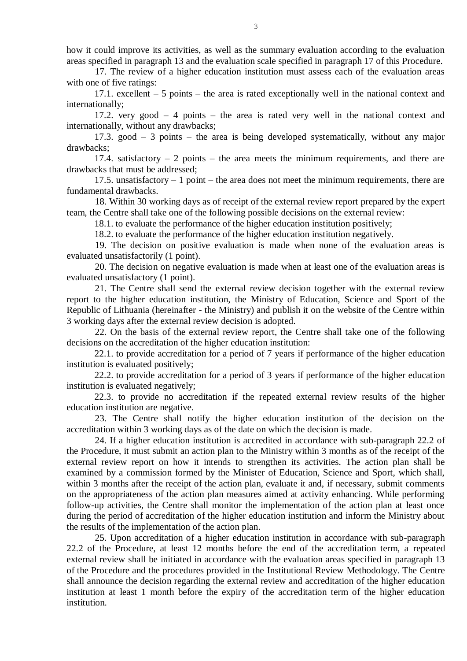how it could improve its activities, as well as the summary evaluation according to the evaluation areas specified in paragraph 13 and the evaluation scale specified in paragraph 17 of this Procedure.

17. The review of a higher education institution must assess each of the evaluation areas with one of five ratings:

17.1. excellent – 5 points – the area is rated exceptionally well in the national context and internationally;

17.2. very good – 4 points – the area is rated very well in the national context and internationally, without any drawbacks;

17.3. good – 3 points – the area is being developed systematically, without any major drawbacks;

17.4. satisfactory  $-2$  points – the area meets the minimum requirements, and there are drawbacks that must be addressed;

17.5. unsatisfactory  $-1$  point  $-$  the area does not meet the minimum requirements, there are fundamental drawbacks.

18. Within 30 working days as of receipt of the external review report prepared by the expert team, the Centre shall take one of the following possible decisions on the external review:

18.1. to evaluate the performance of the higher education institution positively;

18.2. to evaluate the performance of the higher education institution negatively.

19. The decision on positive evaluation is made when none of the evaluation areas is evaluated unsatisfactorily (1 point).

20. The decision on negative evaluation is made when at least one of the evaluation areas is evaluated unsatisfactory (1 point).

21. The Centre shall send the external review decision together with the external review report to the higher education institution, the Ministry of Education, Science and Sport of the Republic of Lithuania (hereinafter - the Ministry) and publish it on the website of the Centre within 3 working days after the external review decision is adopted.

22. On the basis of the external review report, the Centre shall take one of the following decisions on the accreditation of the higher education institution:

22.1. to provide accreditation for a period of 7 years if performance of the higher education institution is evaluated positively;

22.2. to provide accreditation for a period of 3 years if performance of the higher education institution is evaluated negatively;

22.3. to provide no accreditation if the repeated external review results of the higher education institution are negative.

23. The Centre shall notify the higher education institution of the decision on the accreditation within 3 working days as of the date on which the decision is made.

24. If a higher education institution is accredited in accordance with sub-paragraph 22.2 of the Procedure, it must submit an action plan to the Ministry within 3 months as of the receipt of the external review report on how it intends to strengthen its activities. The action plan shall be examined by a commission formed by the Minister of Education, Science and Sport, which shall, within 3 months after the receipt of the action plan, evaluate it and, if necessary, submit comments on the appropriateness of the action plan measures aimed at activity enhancing. While performing follow-up activities, the Centre shall monitor the implementation of the action plan at least once during the period of accreditation of the higher education institution and inform the Ministry about the results of the implementation of the action plan.

25. Upon accreditation of a higher education institution in accordance with sub-paragraph 22.2 of the Procedure, at least 12 months before the end of the accreditation term, a repeated external review shall be initiated in accordance with the evaluation areas specified in paragraph 13 of the Procedure and the procedures provided in the Institutional Review Methodology. The Centre shall announce the decision regarding the external review and accreditation of the higher education institution at least 1 month before the expiry of the accreditation term of the higher education institution.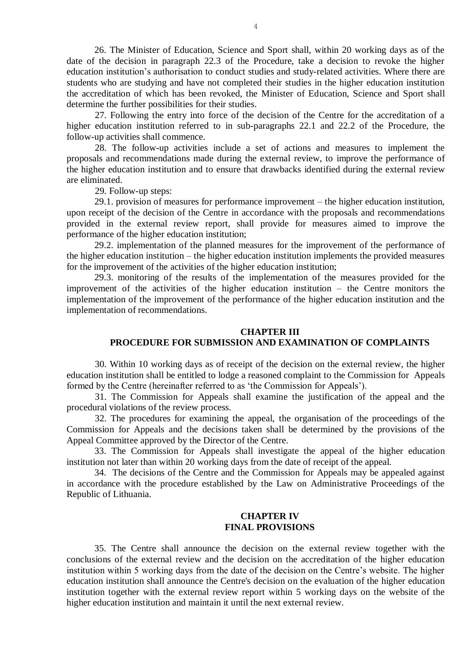26. The Minister of Education, Science and Sport shall, within 20 working days as of the date of the decision in paragraph 22.3 of the Procedure, take a decision to revoke the higher education institution's authorisation to conduct studies and study-related activities. Where there are students who are studying and have not completed their studies in the higher education institution the accreditation of which has been revoked, the Minister of Education, Science and Sport shall determine the further possibilities for their studies.

27. Following the entry into force of the decision of the Centre for the accreditation of a higher education institution referred to in sub-paragraphs 22.1 and 22.2 of the Procedure, the follow-up activities shall commence.

28. The follow-up activities include a set of actions and measures to implement the proposals and recommendations made during the external review, to improve the performance of the higher education institution and to ensure that drawbacks identified during the external review are eliminated.

29. Follow-up steps:

29.1. provision of measures for performance improvement – the higher education institution, upon receipt of the decision of the Centre in accordance with the proposals and recommendations provided in the external review report, shall provide for measures aimed to improve the performance of the higher education institution;

29.2. implementation of the planned measures for the improvement of the performance of the higher education institution – the higher education institution implements the provided measures for the improvement of the activities of the higher education institution;

29.3. monitoring of the results of the implementation of the measures provided for the improvement of the activities of the higher education institution – the Centre monitors the implementation of the improvement of the performance of the higher education institution and the implementation of recommendations.

#### **CHAPTER III**

### **PROCEDURE FOR SUBMISSION AND EXAMINATION OF COMPLAINTS**

30. Within 10 working days as of receipt of the decision on the external review, the higher education institution shall be entitled to lodge a reasoned complaint to the Commission for Appeals formed by the Centre (hereinafter referred to as 'the Commission for Appeals').

31. The Commission for Appeals shall examine the justification of the appeal and the procedural violations of the review process.

32. The procedures for examining the appeal, the organisation of the proceedings of the Commission for Appeals and the decisions taken shall be determined by the provisions of the Appeal Committee approved by the Director of the Centre.

33. The Commission for Appeals shall investigate the appeal of the higher education institution not later than within 20 working days from the date of receipt of the appeal.

34. The decisions of the Centre and the Commission for Appeals may be appealed against in accordance with the procedure established by the Law on Administrative Proceedings of the Republic of Lithuania.

#### **CHAPTER IV FINAL PROVISIONS**

35. The Centre shall announce the decision on the external review together with the conclusions of the external review and the decision on the accreditation of the higher education institution within 5 working days from the date of the decision on the Centre's website. The higher education institution shall announce the Centre's decision on the evaluation of the higher education institution together with the external review report within 5 working days on the website of the higher education institution and maintain it until the next external review.